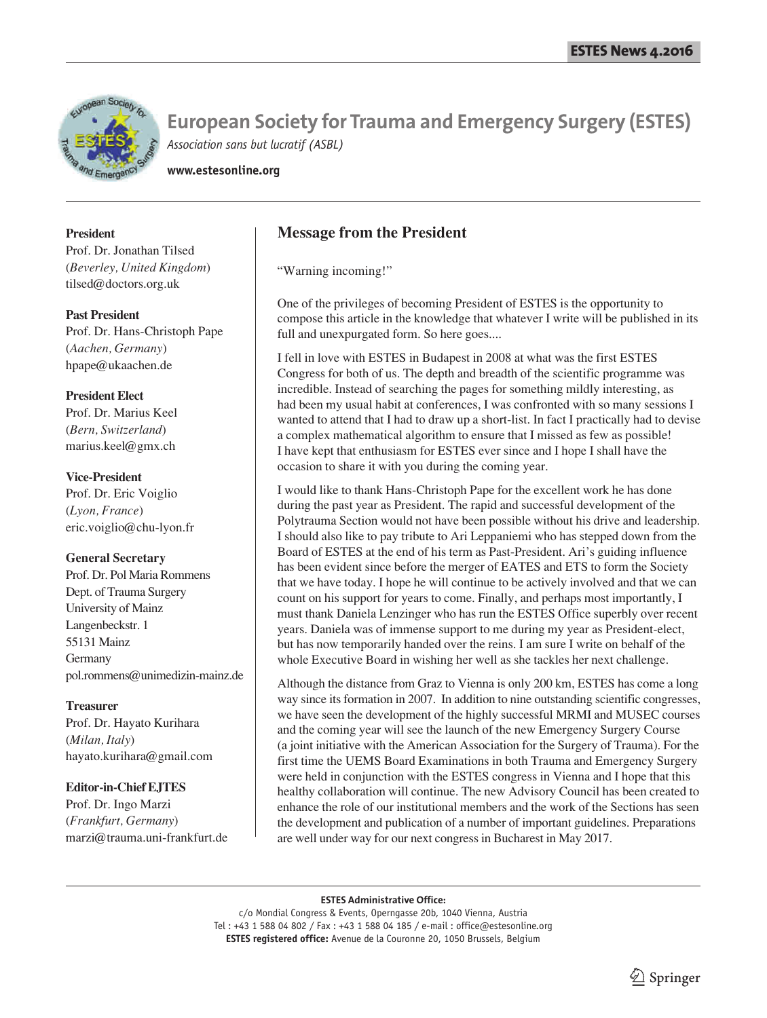

**www.estesonline.org**

#### **President**

Prof. Dr. Jonathan Tilsed (*Beverley, United Kingdom*) tilsed@doctors.org.uk

#### **Past President**

Prof. Dr. Hans-Christoph Pape (*Aachen, Germany*) hpape@ukaachen.de

#### **President Elect**

Prof. Dr. Marius Keel (*Bern, Switzerland*) marius.keel@gmx.ch

#### **Vice-President**

Prof. Dr. Eric Voiglio (*Lyon, France*) eric.voiglio@chu-lyon.fr

#### **General Secretary**

Prof. Dr. Pol Maria Rommens Dept. of Trauma Surgery University of Mainz Langenbeckstr. 1 55131 Mainz Germany pol.rommens@unimedizin-mainz.de

#### **Treasurer**

Prof. Dr. Hayato Kurihara (*Milan, Italy*) hayato.kurihara@gmail.com

#### **Editor-in-Chief EJTES**

Prof. Dr. Ingo Marzi (*Frankfurt, Germany*) marzi@trauma.uni-frankfurt.de

## **Message from the President**

"Warning incoming!"

One of the privileges of becoming President of ESTES is the opportunity to compose this article in the knowledge that whatever I write will be published in its full and unexpurgated form. So here goes....

I fell in love with ESTES in Budapest in 2008 at what was the first ESTES Congress for both of us. The depth and breadth of the scientific programme was incredible. Instead of searching the pages for something mildly interesting, as had been my usual habit at conferences, I was confronted with so many sessions I wanted to attend that I had to draw up a short-list. In fact I practically had to devise a complex mathematical algorithm to ensure that I missed as few as possible! I have kept that enthusiasm for ESTES ever since and I hope I shall have the occasion to share it with you during the coming year.

I would like to thank Hans-Christoph Pape for the excellent work he has done during the past year as President. The rapid and successful development of the Polytrauma Section would not have been possible without his drive and leadership. I should also like to pay tribute to Ari Leppaniemi who has stepped down from the Board of ESTES at the end of his term as Past-President. Ari's guiding influence has been evident since before the merger of EATES and ETS to form the Society that we have today. I hope he will continue to be actively involved and that we can count on his support for years to come. Finally, and perhaps most importantly, I must thank Daniela Lenzinger who has run the ESTES Office superbly over recent years. Daniela was of immense support to me during my year as President-elect, but has now temporarily handed over the reins. I am sure I write on behalf of the whole Executive Board in wishing her well as she tackles her next challenge.

Although the distance from Graz to Vienna is only 200 km, ESTES has come a long way since its formation in 2007. In addition to nine outstanding scientific congresses, we have seen the development of the highly successful MRMI and MUSEC courses and the coming year will see the launch of the new Emergency Surgery Course (a joint initiative with the American Association for the Surgery of Trauma). For the first time the UEMS Board Examinations in both Trauma and Emergency Surgery were held in conjunction with the ESTES congress in Vienna and I hope that this healthy collaboration will continue. The new Advisory Council has been created to enhance the role of our institutional members and the work of the Sections has seen the development and publication of a number of important guidelines. Preparations are well under way for our next congress in Bucharest in May 2017.

#### **ESTES Administrative Office:**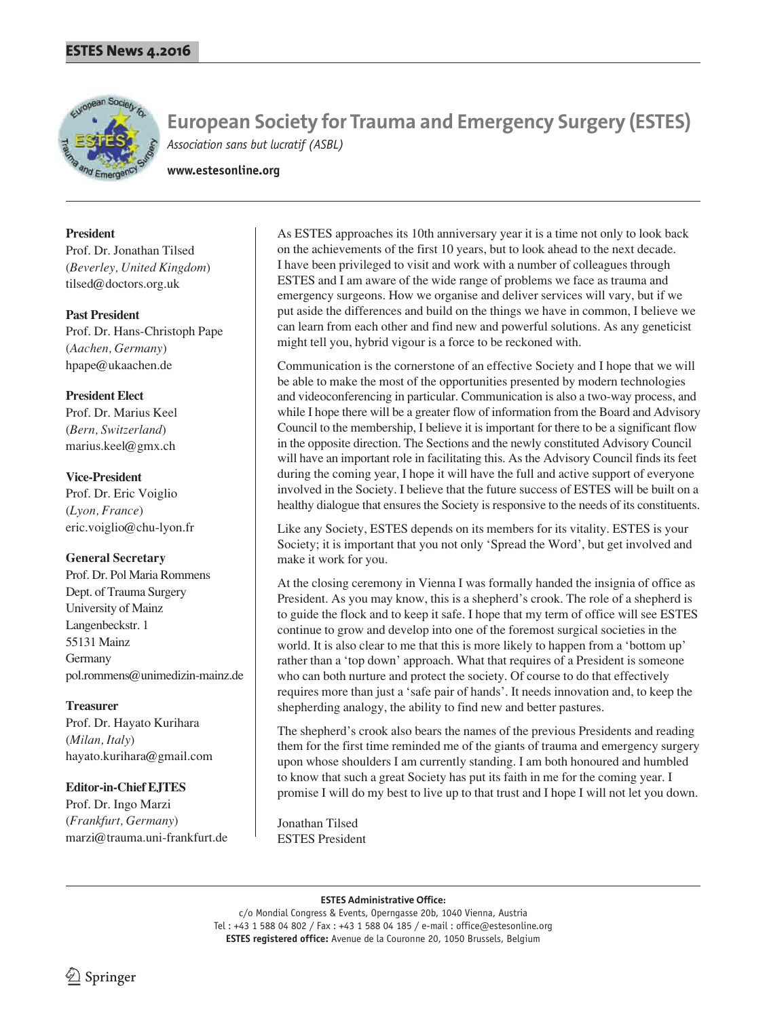

**www.estesonline.org**

#### **President**

Prof. Dr. Jonathan Tilsed (*Beverley, United Kingdom*) tilsed@doctors.org.uk

#### **Past President**

Prof. Dr. Hans-Christoph Pape (*Aachen, Germany*) hpape@ukaachen.de

#### **President Elect**

Prof. Dr. Marius Keel (*Bern, Switzerland*) marius.keel@gmx.ch

#### **Vice-President**

Prof. Dr. Eric Voiglio (*Lyon, France*) eric.voiglio@chu-lyon.fr

#### **General Secretary**

Prof. Dr. Pol Maria Rommens Dept. of Trauma Surgery University of Mainz Langenbeckstr. 1 55131 Mainz Germany pol.rommens@unimedizin-mainz.de

#### **Treasurer**

Prof. Dr. Hayato Kurihara (*Milan, Italy*) hayato.kurihara@gmail.com

#### **Editor-in-Chief EJTES**

Prof. Dr. Ingo Marzi (*Frankfurt, Germany*) marzi@trauma.uni-frankfurt.de As ESTES approaches its 10th anniversary year it is a time not only to look back on the achievements of the first 10 years, but to look ahead to the next decade. I have been privileged to visit and work with a number of colleagues through ESTES and I am aware of the wide range of problems we face as trauma and emergency surgeons. How we organise and deliver services will vary, but if we put aside the differences and build on the things we have in common, I believe we can learn from each other and find new and powerful solutions. As any geneticist might tell you, hybrid vigour is a force to be reckoned with.

Communication is the cornerstone of an effective Society and I hope that we will be able to make the most of the opportunities presented by modern technologies and videoconferencing in particular. Communication is also a two-way process, and while I hope there will be a greater flow of information from the Board and Advisory Council to the membership, I believe it is important for there to be a significant flow in the opposite direction. The Sections and the newly constituted Advisory Council will have an important role in facilitating this. As the Advisory Council finds its feet during the coming year, I hope it will have the full and active support of everyone involved in the Society. I believe that the future success of ESTES will be built on a healthy dialogue that ensures the Society is responsive to the needs of its constituents.

Like any Society, ESTES depends on its members for its vitality. ESTES is your Society; it is important that you not only 'Spread the Word', but get involved and make it work for you.

At the closing ceremony in Vienna I was formally handed the insignia of office as President. As you may know, this is a shepherd's crook. The role of a shepherd is to guide the flock and to keep it safe. I hope that my term of office will see ESTES continue to grow and develop into one of the foremost surgical societies in the world. It is also clear to me that this is more likely to happen from a 'bottom up' rather than a 'top down' approach. What that requires of a President is someone who can both nurture and protect the society. Of course to do that effectively requires more than just a 'safe pair of hands'. It needs innovation and, to keep the shepherding analogy, the ability to find new and better pastures.

The shepherd's crook also bears the names of the previous Presidents and reading them for the first time reminded me of the giants of trauma and emergency surgery upon whose shoulders I am currently standing. I am both honoured and humbled to know that such a great Society has put its faith in me for the coming year. I promise I will do my best to live up to that trust and I hope I will not let you down.

Jonathan Tilsed ESTES President

#### **ESTES Administrative Office:**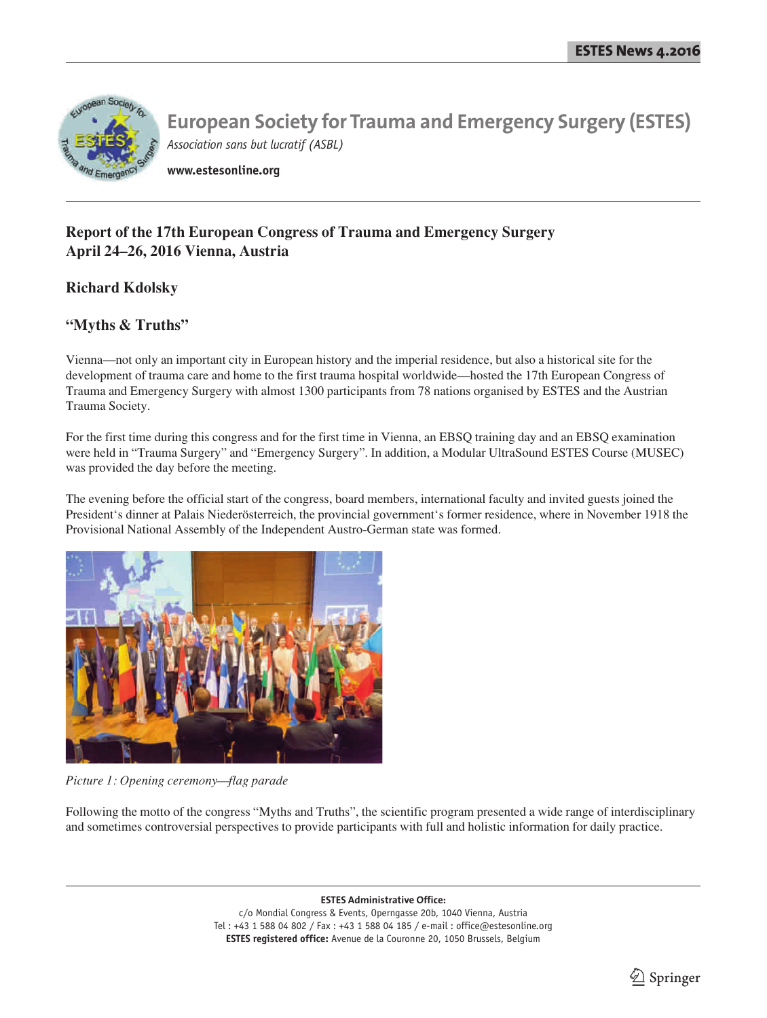

**www.estesonline.org**

# **Report of the 17th European Congress of Trauma and Emergency Surgery April 24–26, 2016 Vienna, Austria**

## **Richard Kdolsky**

## **"Myths & Truths"**

Vienna—not only an important city in European history and the imperial residence, but also a historical site for the development of trauma care and home to the first trauma hospital worldwide—hosted the 17th European Congress of Trauma and Emergency Surgery with almost 1300 participants from 78 nations organised by ESTES and the Austrian Trauma Society.

For the first time during this congress and for the first time in Vienna, an EBSQ training day and an EBSQ examination were held in "Trauma Surgery" and "Emergency Surgery". In addition, a Modular UltraSound ESTES Course (MUSEC) was provided the day before the meeting.

The evening before the official start of the congress, board members, international faculty and invited guests joined the President's dinner at Palais Niederösterreich, the provincial government's former residence, where in November 1918 the Provisional National Assembly of the Independent Austro-German state was formed.



*Picture 1: Opening ceremony—flag parade*

Following the motto of the congress "Myths and Truths", the scientific program presented a wide range of interdisciplinary and sometimes controversial perspectives to provide participants with full and holistic information for daily practice.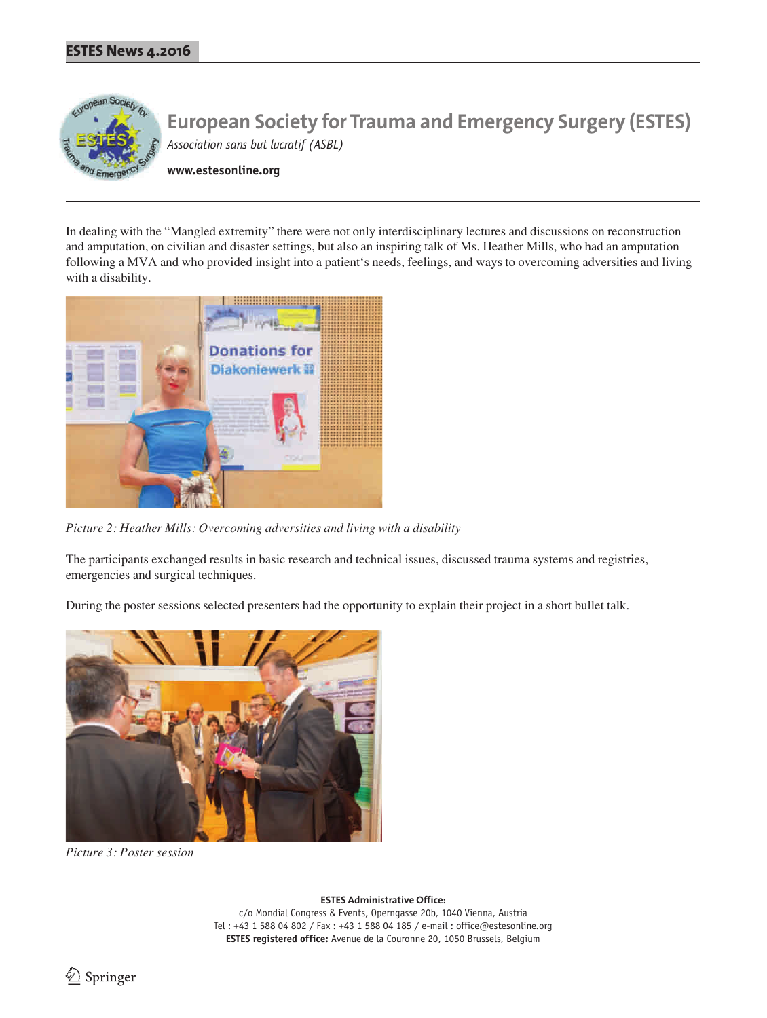

**www.estesonline.org**

In dealing with the "Mangled extremity" there were not only interdisciplinary lectures and discussions on reconstruction and amputation, on civilian and disaster settings, but also an inspiring talk of Ms. Heather Mills, who had an amputation following a MVA and who provided insight into a patient's needs, feelings, and ways to overcoming adversities and living with a disability.



*Picture 2: Heather Mills: Overcoming adversities and living with a disability*

The participants exchanged results in basic research and technical issues, discussed trauma systems and registries, emergencies and surgical techniques.

During the poster sessions selected presenters had the opportunity to explain their project in a short bullet talk.



*Picture 3: Poster session*

**ESTES Administrative Office:** c/o Mondial Congress & Events, Operngasse 20b, 1040 Vienna, Austria Tel : +43 1 588 04 802 / Fax : +43 1 588 04 185 / e-mail : office@estesonline.org **ESTES registered office:** Avenue de la Couronne 20, 1050 Brussels, Belgium

2 Springer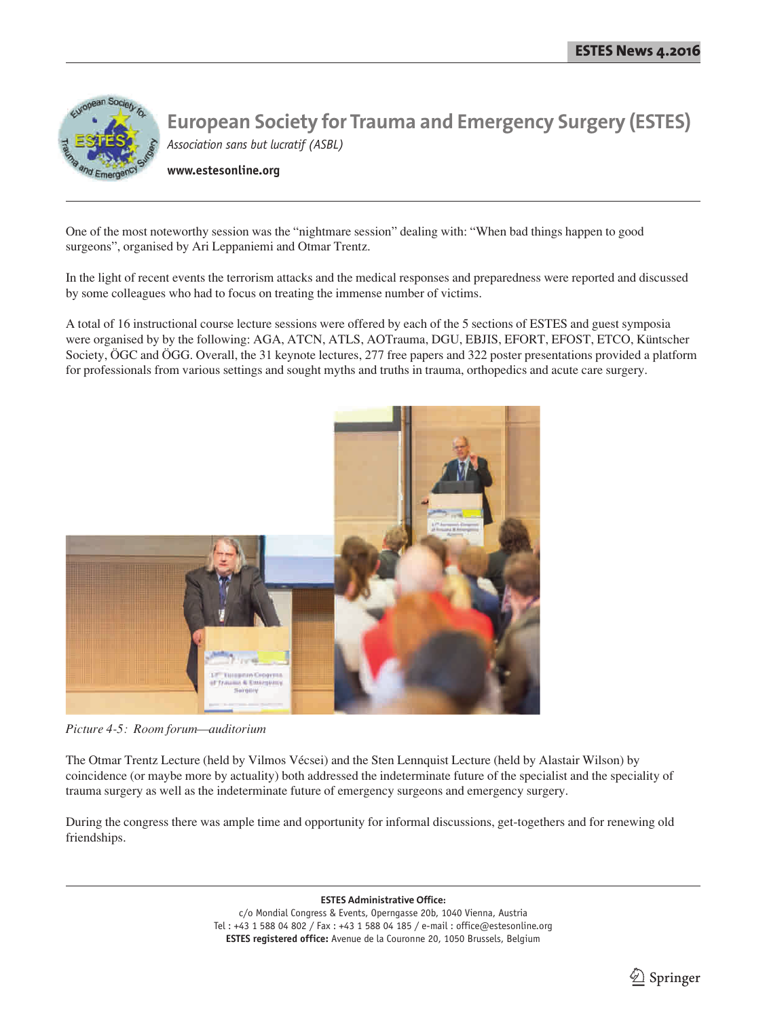

**www.estesonline.org**

One of the most noteworthy session was the "nightmare session" dealing with: "When bad things happen to good surgeons", organised by Ari Leppaniemi and Otmar Trentz.

In the light of recent events the terrorism attacks and the medical responses and preparedness were reported and discussed by some colleagues who had to focus on treating the immense number of victims.

A total of 16 instructional course lecture sessions were offered by each of the 5 sections of ESTES and guest symposia were organised by by the following: AGA, ATCN, ATLS, AOTrauma, DGU, EBJIS, EFORT, EFOST, ETCO, Küntscher Society, ÖGC and ÖGG. Overall, the 31 keynote lectures, 277 free papers and 322 poster presentations provided a platform for professionals from various settings and sought myths and truths in trauma, orthopedics and acute care surgery.



*Picture 4-5: Room forum—auditorium*

The Otmar Trentz Lecture (held by Vilmos Vécsei) and the Sten Lennquist Lecture (held by Alastair Wilson) by coincidence (or maybe more by actuality) both addressed the indeterminate future of the specialist and the speciality of trauma surgery as well as the indeterminate future of emergency surgeons and emergency surgery.

During the congress there was ample time and opportunity for informal discussions, get-togethers and for renewing old friendships.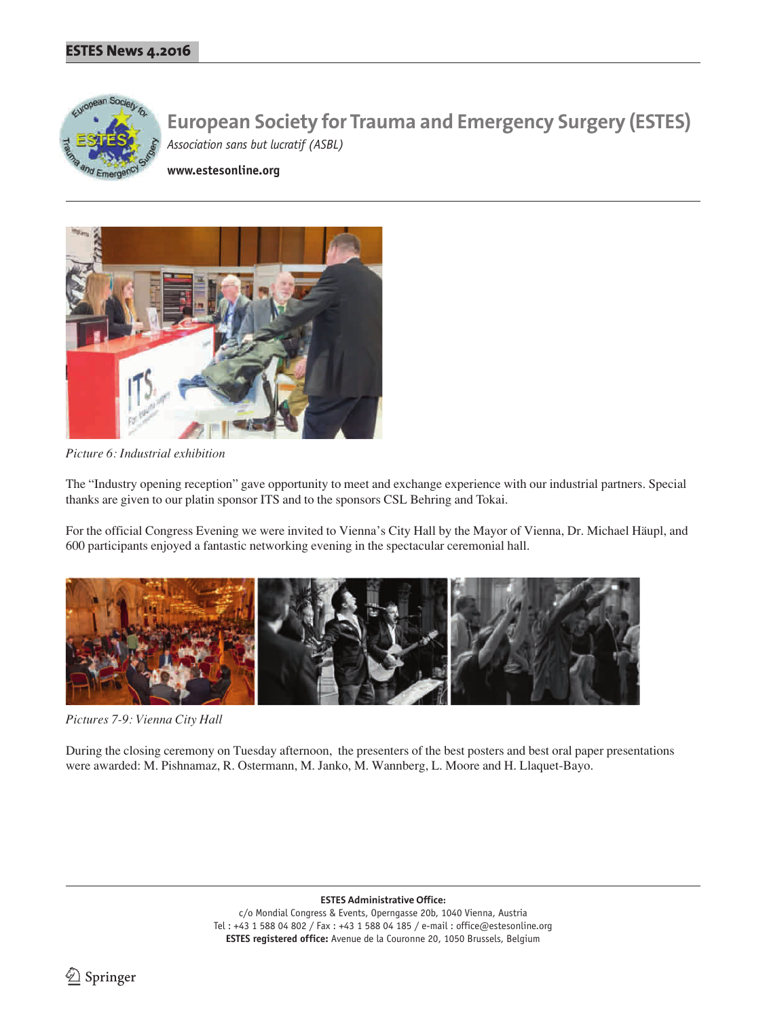

**www.estesonline.org**



*Picture 6: Industrial exhibition* 

The "Industry opening reception" gave opportunity to meet and exchange experience with our industrial partners. Special thanks are given to our platin sponsor ITS and to the sponsors CSL Behring and Tokai.

For the official Congress Evening we were invited to Vienna's City Hall by the Mayor of Vienna, Dr. Michael Häupl, and 600 participants enjoyed a fantastic networking evening in the spectacular ceremonial hall.



*Pictures 7-9: Vienna City Hall* 

During the closing ceremony on Tuesday afternoon, the presenters of the best posters and best oral paper presentations were awarded: M. Pishnamaz, R. Ostermann, M. Janko, M. Wannberg, L. Moore and H. Llaquet-Bayo.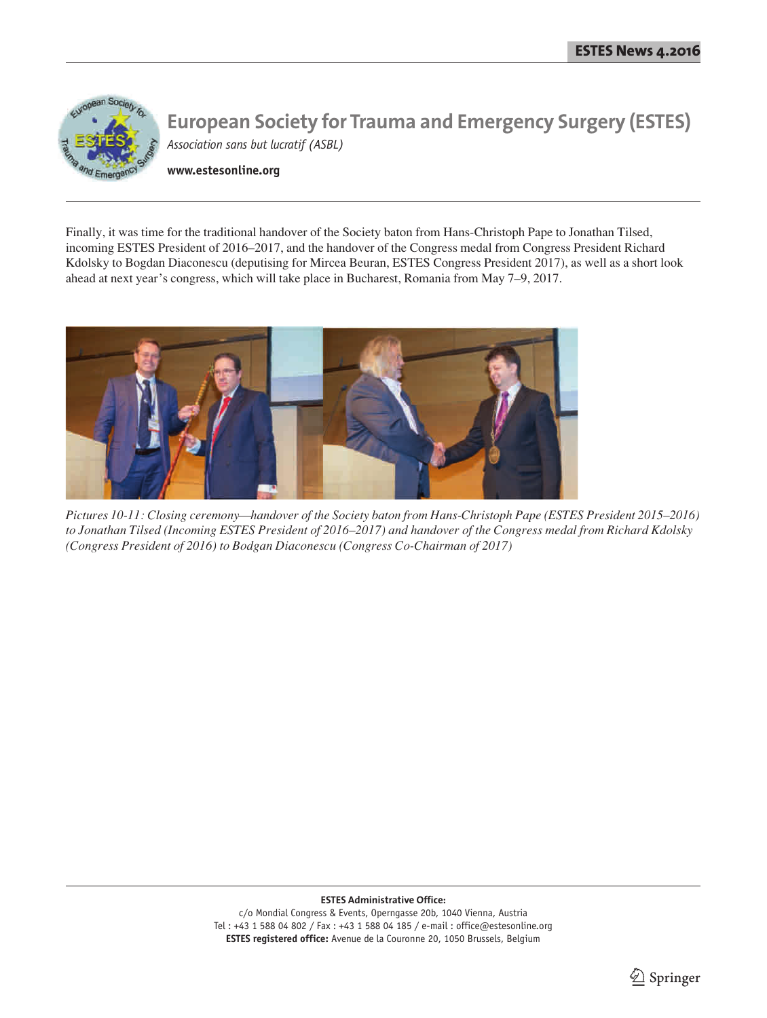

**www.estesonline.org**

Finally, it was time for the traditional handover of the Society baton from Hans-Christoph Pape to Jonathan Tilsed, incoming ESTES President of 2016–2017, and the handover of the Congress medal from Congress President Richard Kdolsky to Bogdan Diaconescu (deputising for Mircea Beuran, ESTES Congress President 2017), as well as a short look ahead at next year's congress, which will take place in Bucharest, Romania from May 7–9, 2017.



*Pictures 10-11: Closing ceremony—handover of the Society baton from Hans-Christoph Pape (ESTES President 2015–2016) to Jonathan Tilsed (Incoming ESTES President of 2016–2017) and handover of the Congress medal from Richard Kdolsky (Congress President of 2016) to Bodgan Diaconescu (Congress Co-Chairman of 2017)*

**ESTES Administrative Office:**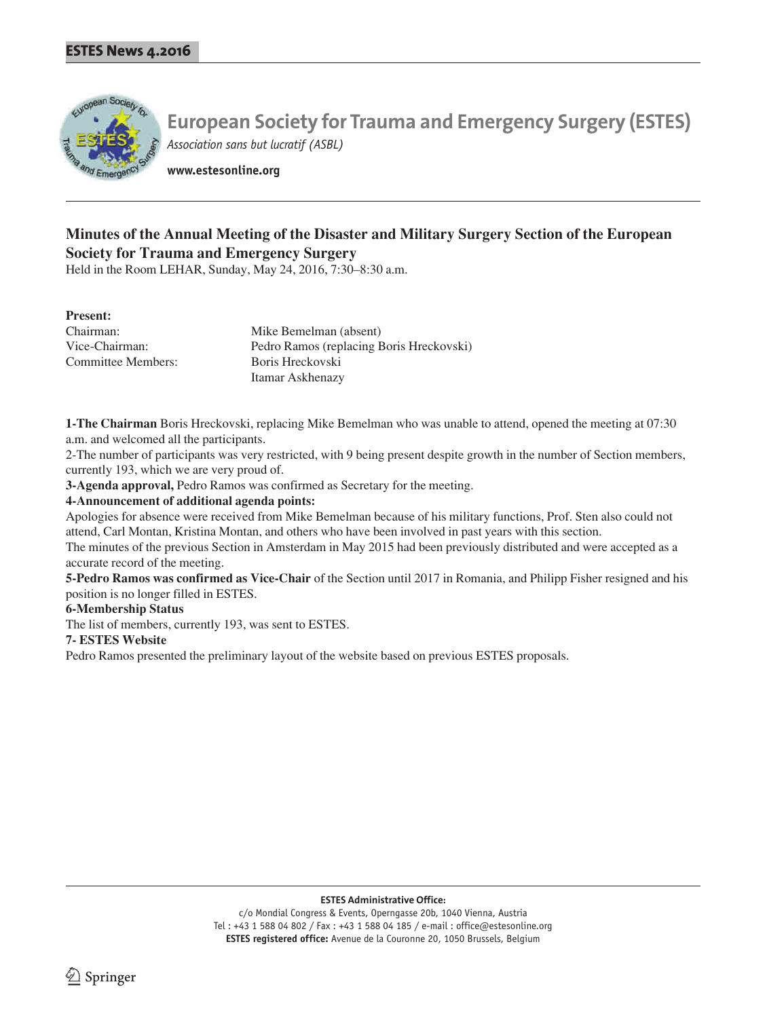

**www.estesonline.org**

# **Minutes of the Annual Meeting of the Disaster and Military Surgery Section of the European Society for Trauma and Emergency Surgery**

Held in the Room LEHAR, Sunday, May 24, 2016, 7:30–8:30 a.m.

#### **Present:**

| Chairman:          | Mike Bemelman (absent)                   |
|--------------------|------------------------------------------|
| Vice-Chairman:     | Pedro Ramos (replacing Boris Hreckovski) |
| Committee Members: | Boris Hreckovski                         |
|                    | Itamar Askhenazy                         |

**1-The Chairman** Boris Hreckovski, replacing Mike Bemelman who was unable to attend, opened the meeting at 07:30 a.m. and welcomed all the participants.

2-The number of participants was very restricted, with 9 being present despite growth in the number of Section members, currently 193, which we are very proud of.

**3-Agenda approval,** Pedro Ramos was confirmed as Secretary for the meeting.

#### **4-Announcement of additional agenda points:**

Apologies for absence were received from Mike Bemelman because of his military functions, Prof. Sten also could not attend, Carl Montan, Kristina Montan, and others who have been involved in past years with this section.

The minutes of the previous Section in Amsterdam in May 2015 had been previously distributed and were accepted as a accurate record of the meeting.

**5-Pedro Ramos was confirmed as Vice-Chair** of the Section until 2017 in Romania, and Philipp Fisher resigned and his position is no longer filled in ESTES.

#### **6-Membership Status**

The list of members, currently 193, was sent to ESTES.

#### **7- ESTES Website**

Pedro Ramos presented the preliminary layout of the website based on previous ESTES proposals.

**ESTES Administrative Office:**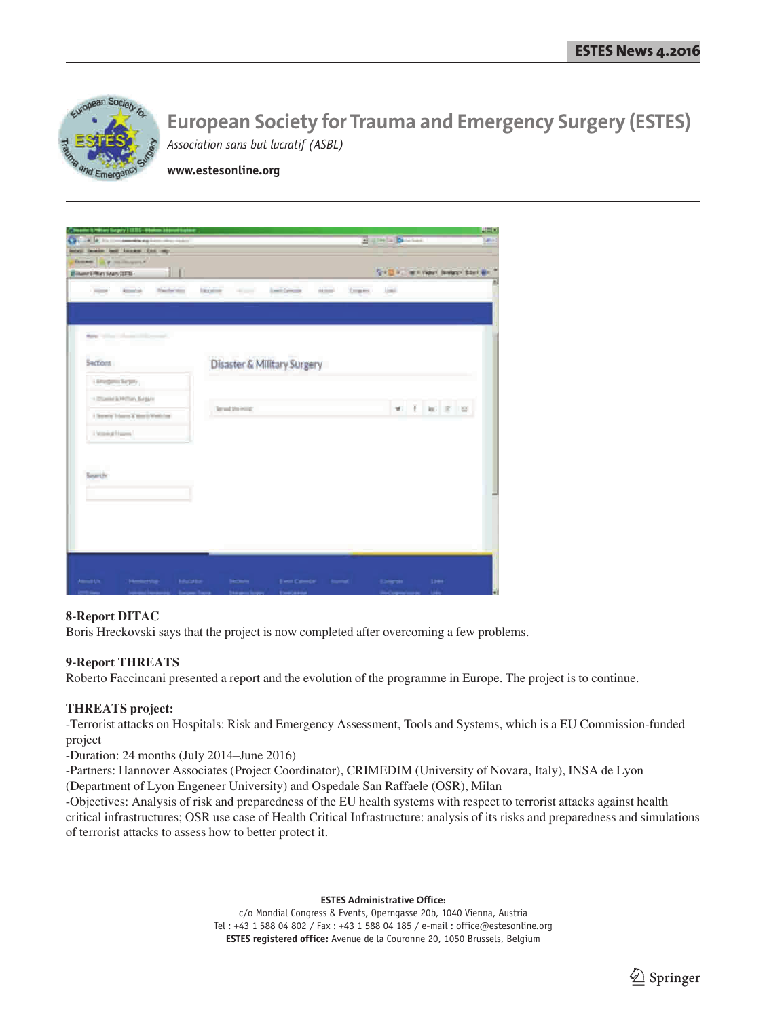

**www.estesonline.org**

| Castle at the commences of<br><b>CONTRACTOR</b>       |                                                                                   | <b>Halleda British</b> |                                                             |
|-------------------------------------------------------|-----------------------------------------------------------------------------------|------------------------|-------------------------------------------------------------|
| level beaco let locate this vary                      |                                                                                   |                        |                                                             |
| Dones, Lighter House, 4                               |                                                                                   |                        |                                                             |
| $\mathbf{H}$<br><b>IT Hamer EPRINTS Sears CERTAIN</b> |                                                                                   |                        | SHEET, will need between black and if                       |
| Nacharator<br>Almentuck<br><b>Hotel</b>               | <b>Laid Cancer</b><br><b>AGEN</b><br>Corporate<br><b>Stevenson</b><br>the company | <b>Locki</b>           |                                                             |
|                                                       |                                                                                   |                        |                                                             |
|                                                       |                                                                                   |                        |                                                             |
|                                                       |                                                                                   |                        |                                                             |
| they will also a factor of the                        |                                                                                   |                        |                                                             |
|                                                       |                                                                                   |                        |                                                             |
| Sections                                              | Disaster & Military Surgery                                                       |                        |                                                             |
| Lingmann                                              |                                                                                   |                        |                                                             |
|                                                       |                                                                                   |                        |                                                             |
| - Interest & Millery Sergers                          | Terrant the initial:                                                              |                        | $\Psi \quad \xi \quad \text{and} \quad \xi \quad \text{in}$ |
| I Service Edgard & March Well-Fox                     |                                                                                   |                        |                                                             |
| Chinese Harry                                         |                                                                                   |                        |                                                             |
|                                                       |                                                                                   |                        |                                                             |
|                                                       |                                                                                   |                        |                                                             |
| Smart2r                                               |                                                                                   |                        |                                                             |
|                                                       |                                                                                   |                        |                                                             |
|                                                       |                                                                                   |                        |                                                             |
|                                                       |                                                                                   |                        |                                                             |
|                                                       |                                                                                   |                        |                                                             |
|                                                       |                                                                                   |                        |                                                             |
|                                                       |                                                                                   |                        |                                                             |
|                                                       |                                                                                   |                        |                                                             |
|                                                       |                                                                                   |                        |                                                             |
| About Uk.<br><b>Murature</b><br><b>Helena</b>         | EMITCHINGS BUILD<br><b>Becharin</b>                                               | <b>Congress</b>        | tree                                                        |

### **8-Report DITAC**

Boris Hreckovski says that the project is now completed after overcoming a few problems.

#### **9-Report THREATS**

Roberto Faccincani presented a report and the evolution of the programme in Europe. The project is to continue.

#### **THREATS project:**

-Terrorist attacks on Hospitals: Risk and Emergency Assessment, Tools and Systems, which is a EU Commission-funded project

-Duration: 24 months (July 2014–June 2016)

-Partners: Hannover Associates (Project Coordinator), CRIMEDIM (University of Novara, Italy), INSA de Lyon (Department of Lyon Engeneer University) and Ospedale San Raffaele (OSR), Milan

-Objectives: Analysis of risk and preparedness of the EU health systems with respect to terrorist attacks against health critical infrastructures; OSR use case of Health Critical Infrastructure: analysis of its risks and preparedness and simulations of terrorist attacks to assess how to better protect it.

**ESTES Administrative Office:**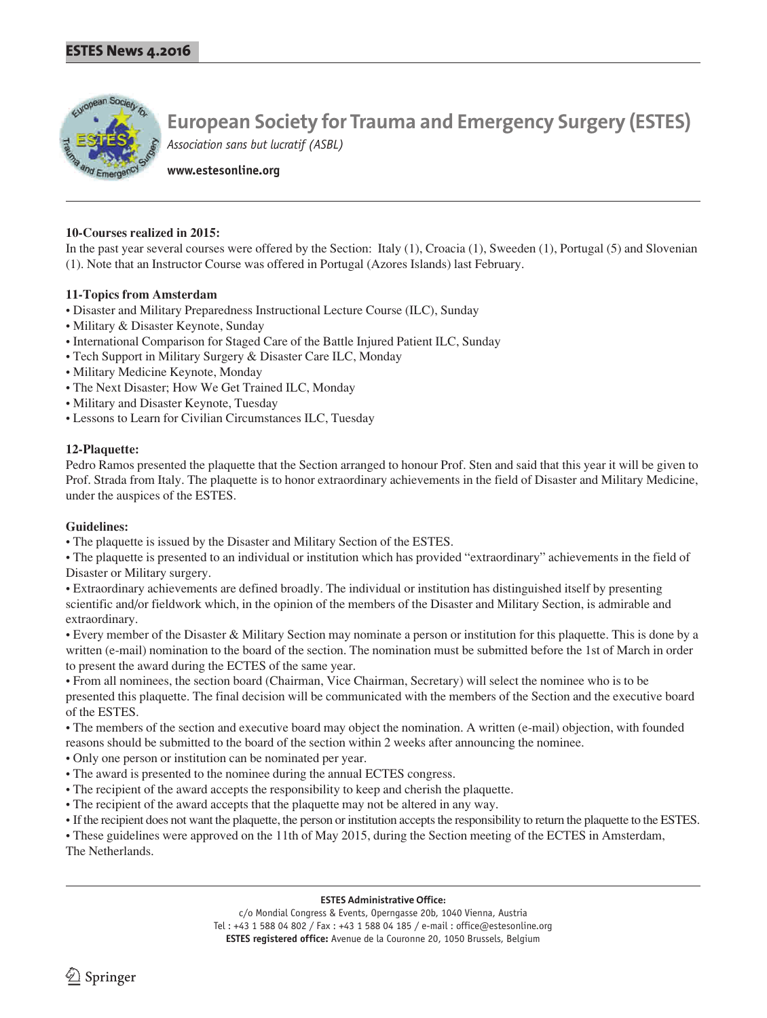

**www.estesonline.org**

#### **10-Courses realized in 2015:**

In the past year several courses were offered by the Section: Italy (1), Croacia (1), Sweeden (1), Portugal (5) and Slovenian (1). Note that an Instructor Course was offered in Portugal (Azores Islands) last February.

#### **11-Topics from Amsterdam**

- Disaster and Military Preparedness Instructional Lecture Course (ILC), Sunday
- Military & Disaster Keynote, Sunday
- International Comparison for Staged Care of the Battle Injured Patient ILC, Sunday
- Tech Support in Military Surgery & Disaster Care ILC, Monday
- Military Medicine Keynote, Monday
- The Next Disaster; How We Get Trained ILC, Monday
- Military and Disaster Keynote, Tuesday
- Lessons to Learn for Civilian Circumstances ILC, Tuesday

#### **12-Plaquette:**

Pedro Ramos presented the plaquette that the Section arranged to honour Prof. Sten and said that this year it will be given to Prof. Strada from Italy. The plaquette is to honor extraordinary achievements in the field of Disaster and Military Medicine, under the auspices of the ESTES.

#### **Guidelines:**

• The plaquette is issued by the Disaster and Military Section of the ESTES.

• The plaquette is presented to an individual or institution which has provided "extraordinary" achievements in the field of Disaster or Military surgery.

• Extraordinary achievements are defined broadly. The individual or institution has distinguished itself by presenting scientific and/or fieldwork which, in the opinion of the members of the Disaster and Military Section, is admirable and extraordinary.

• Every member of the Disaster & Military Section may nominate a person or institution for this plaquette. This is done by a written (e-mail) nomination to the board of the section. The nomination must be submitted before the 1st of March in order to present the award during the ECTES of the same year.

• From all nominees, the section board (Chairman, Vice Chairman, Secretary) will select the nominee who is to be presented this plaquette. The final decision will be communicated with the members of the Section and the executive board of the ESTES.

• The members of the section and executive board may object the nomination. A written (e-mail) objection, with founded reasons should be submitted to the board of the section within 2 weeks after announcing the nominee.

- Only one person or institution can be nominated per year.
- The award is presented to the nominee during the annual ECTES congress.
- The recipient of the award accepts the responsibility to keep and cherish the plaquette.
- The recipient of the award accepts that the plaquette may not be altered in any way.
- If the recipient does not want the plaquette, the person or institution accepts the responsibility to return the plaquette to the ESTES.

• These guidelines were approved on the 11th of May 2015, during the Section meeting of the ECTES in Amsterdam, The Netherlands.

#### **ESTES Administrative Office:**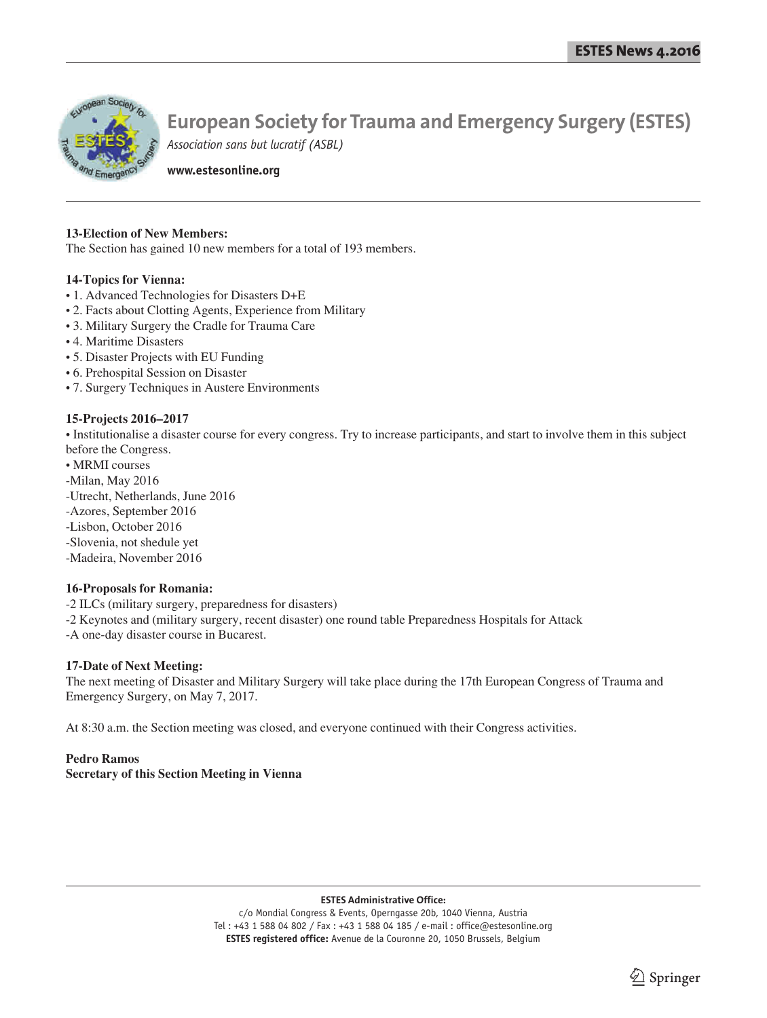

**www.estesonline.org**

#### **13-Election of New Members:**

The Section has gained 10 new members for a total of 193 members.

#### **14-Topics for Vienna:**

- 1. Advanced Technologies for Disasters D+E
- 2. Facts about Clotting Agents, Experience from Military
- 3. Military Surgery the Cradle for Trauma Care
- 4. Maritime Disasters
- 5. Disaster Projects with EU Funding
- 6. Prehospital Session on Disaster
- 7. Surgery Techniques in Austere Environments

#### **15-Projects 2016–2017**

• Institutionalise a disaster course for every congress. Try to increase participants, and start to involve them in this subject before the Congress.

- MRMI courses
- -Milan, May 2016
- -Utrecht, Netherlands, June 2016
- -Azores, September 2016
- -Lisbon, October 2016
- -Slovenia, not shedule yet
- -Madeira, November 2016

#### **16-Proposals for Romania:**

- -2 ILCs (military surgery, preparedness for disasters)
- -2 Keynotes and (military surgery, recent disaster) one round table Preparedness Hospitals for Attack
- -A one-day disaster course in Bucarest.

#### **17-Date of Next Meeting:**

The next meeting of Disaster and Military Surgery will take place during the 17th European Congress of Trauma and Emergency Surgery, on May 7, 2017.

At 8:30 a.m. the Section meeting was closed, and everyone continued with their Congress activities.

#### **Pedro Ramos Secretary of this Section Meeting in Vienna**

#### **ESTES Administrative Office:**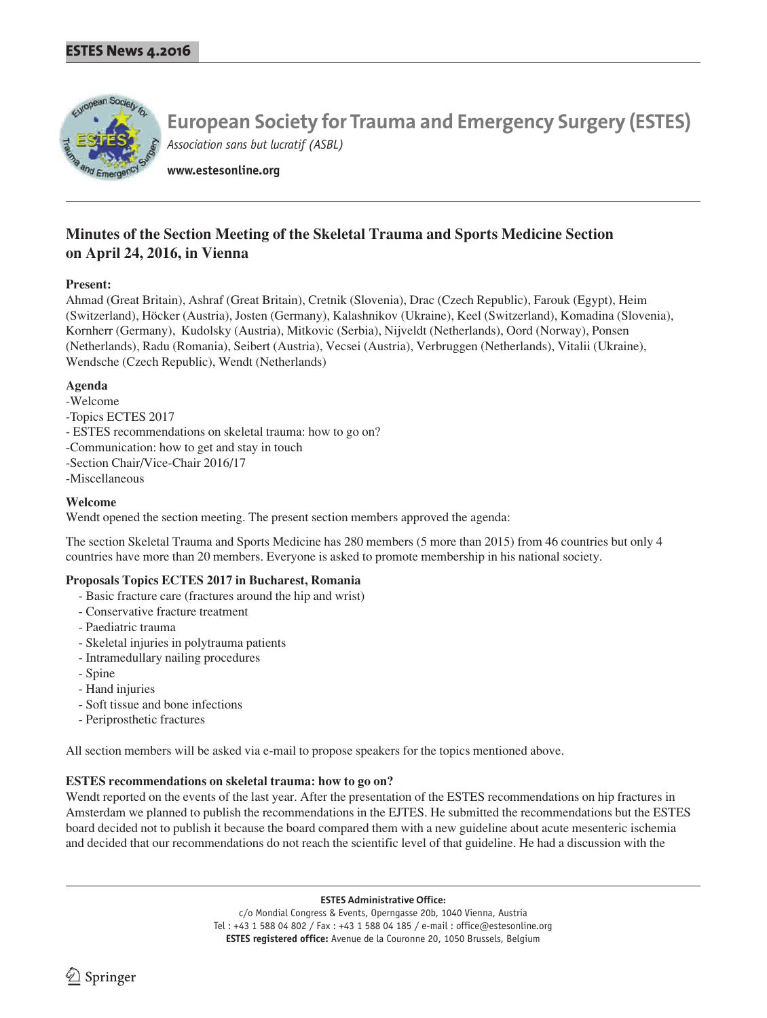

**www.estesonline.org**

## **Minutes of the Section Meeting of the Skeletal Trauma and Sports Medicine Section on April 24, 2016, in Vienna**

#### **Present:**

Ahmad (Great Britain), Ashraf (Great Britain), Cretnik (Slovenia), Drac (Czech Republic), Farouk (Egypt), Heim (Switzerland), Höcker (Austria), Josten (Germany), Kalashnikov (Ukraine), Keel (Switzerland), Komadina (Slovenia), Kornherr (Germany), Kudolsky (Austria), Mitkovic (Serbia), Nijveldt (Netherlands), Oord (Norway), Ponsen (Netherlands), Radu (Romania), Seibert (Austria), Vecsei (Austria), Verbruggen (Netherlands), Vitalii (Ukraine), Wendsche (Czech Republic), Wendt (Netherlands)

#### **Agenda**

- -Welcome
- -Topics ECTES 2017
- ESTES recommendations on skeletal trauma: how to go on?
- -Communication: how to get and stay in touch
- -Section Chair/Vice-Chair 2016/17
- -Miscellaneous

#### **Welcome**

Wendt opened the section meeting. The present section members approved the agenda:

The section Skeletal Trauma and Sports Medicine has 280 members (5 more than 2015) from 46 countries but only 4 countries have more than 20 members. Everyone is asked to promote membership in his national society.

#### **Proposals Topics ECTES 2017 in Bucharest, Romania**

- Basic fracture care (fractures around the hip and wrist)
- Conservative fracture treatment
- Paediatric trauma
- Skeletal injuries in polytrauma patients
- Intramedullary nailing procedures
- Spine
- Hand injuries
- Soft tissue and bone infections
- Periprosthetic fractures

All section members will be asked via e-mail to propose speakers for the topics mentioned above.

#### **ESTES recommendations on skeletal trauma: how to go on?**

Wendt reported on the events of the last year. After the presentation of the ESTES recommendations on hip fractures in Amsterdam we planned to publish the recommendations in the EJTES. He submitted the recommendations but the ESTES board decided not to publish it because the board compared them with a new guideline about acute mesenteric ischemia and decided that our recommendations do not reach the scientific level of that guideline. He had a discussion with the

**ESTES Administrative Office:**

c/o Mondial Congress & Events, Operngasse 20b, 1040 Vienna, Austria Tel : +43 1 588 04 802 / Fax : +43 1 588 04 185 / e-mail : office@estesonline.org **ESTES registered office:** Avenue de la Couronne 20, 1050 Brussels, Belgium

 $\Im$  Springer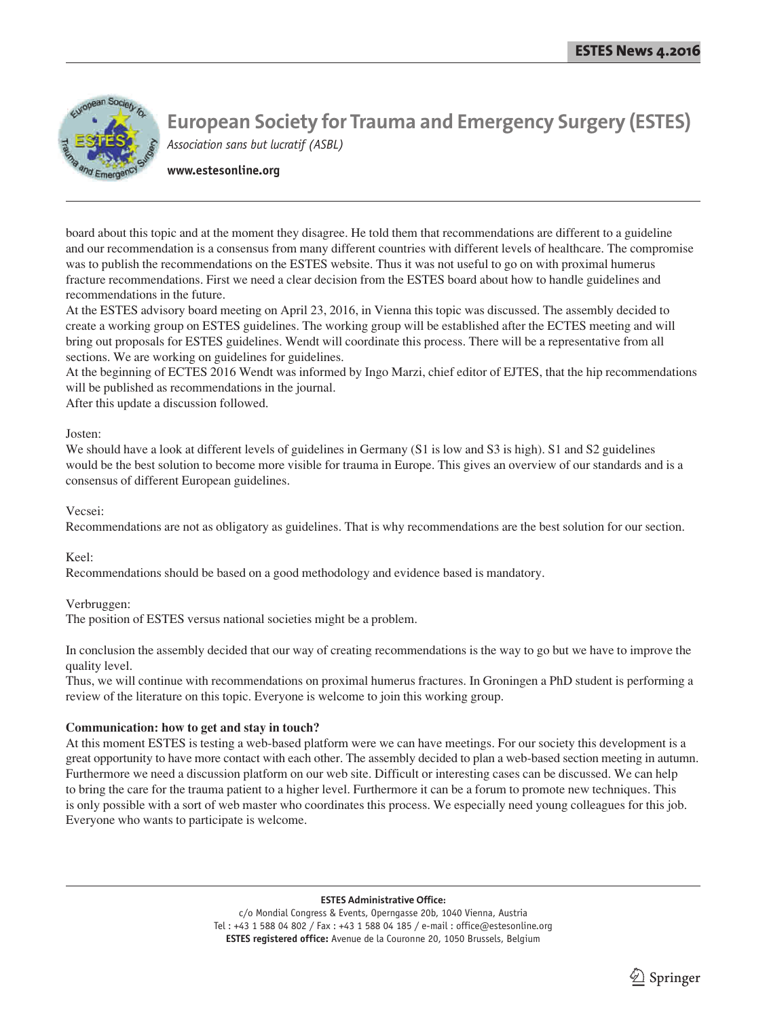

**www.estesonline.org**

board about this topic and at the moment they disagree. He told them that recommendations are different to a guideline and our recommendation is a consensus from many different countries with different levels of healthcare. The compromise was to publish the recommendations on the ESTES website. Thus it was not useful to go on with proximal humerus fracture recommendations. First we need a clear decision from the ESTES board about how to handle guidelines and recommendations in the future.

At the ESTES advisory board meeting on April 23, 2016, in Vienna this topic was discussed. The assembly decided to create a working group on ESTES guidelines. The working group will be established after the ECTES meeting and will bring out proposals for ESTES guidelines. Wendt will coordinate this process. There will be a representative from all sections. We are working on guidelines for guidelines.

At the beginning of ECTES 2016 Wendt was informed by Ingo Marzi, chief editor of EJTES, that the hip recommendations will be published as recommendations in the journal.

After this update a discussion followed.

Josten:

We should have a look at different levels of guidelines in Germany (S1 is low and S3 is high). S1 and S2 guidelines would be the best solution to become more visible for trauma in Europe. This gives an overview of our standards and is a consensus of different European guidelines.

Vecsei:

Recommendations are not as obligatory as guidelines. That is why recommendations are the best solution for our section.

Keel:

Recommendations should be based on a good methodology and evidence based is mandatory.

Verbruggen:

The position of ESTES versus national societies might be a problem.

In conclusion the assembly decided that our way of creating recommendations is the way to go but we have to improve the quality level.

Thus, we will continue with recommendations on proximal humerus fractures. In Groningen a PhD student is performing a review of the literature on this topic. Everyone is welcome to join this working group.

#### **Communication: how to get and stay in touch?**

At this moment ESTES is testing a web-based platform were we can have meetings. For our society this development is a great opportunity to have more contact with each other. The assembly decided to plan a web-based section meeting in autumn. Furthermore we need a discussion platform on our web site. Difficult or interesting cases can be discussed. We can help to bring the care for the trauma patient to a higher level. Furthermore it can be a forum to promote new techniques. This is only possible with a sort of web master who coordinates this process. We especially need young colleagues for this job. Everyone who wants to participate is welcome.

#### **ESTES Administrative Office:**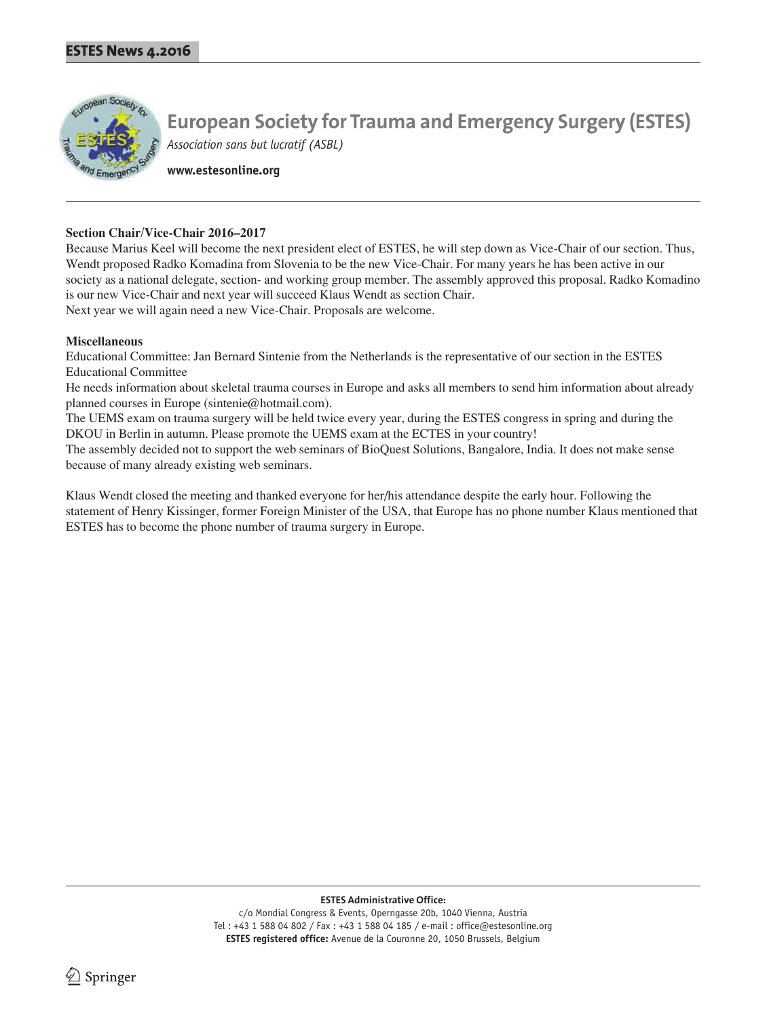

**www.estesonline.org**

#### **Section Chair/Vice-Chair 2016–2017**

Because Marius Keel will become the next president elect of ESTES, he will step down as Vice-Chair of our section. Thus, Wendt proposed Radko Komadina from Slovenia to be the new Vice-Chair. For many years he has been active in our society as a national delegate, section- and working group member. The assembly approved this proposal. Radko Komadino is our new Vice-Chair and next year will succeed Klaus Wendt as section Chair. Next year we will again need a new Vice-Chair. Proposals are welcome.

#### **Miscellaneous**

Educational Committee: Jan Bernard Sintenie from the Netherlands is the representative of our section in the ESTES Educational Committee

He needs information about skeletal trauma courses in Europe and asks all members to send him information about already planned courses in Europe (sintenie@hotmail.com).

The UEMS exam on trauma surgery will be held twice every year, during the ESTES congress in spring and during the DKOU in Berlin in autumn. Please promote the UEMS exam at the ECTES in your country!

The assembly decided not to support the web seminars of BioQuest Solutions, Bangalore, India. It does not make sense because of many already existing web seminars.

Klaus Wendt closed the meeting and thanked everyone for her/his attendance despite the early hour. Following the statement of Henry Kissinger, former Foreign Minister of the USA, that Europe has no phone number Klaus mentioned that ESTES has to become the phone number of trauma surgery in Europe.

**ESTES Administrative Office:**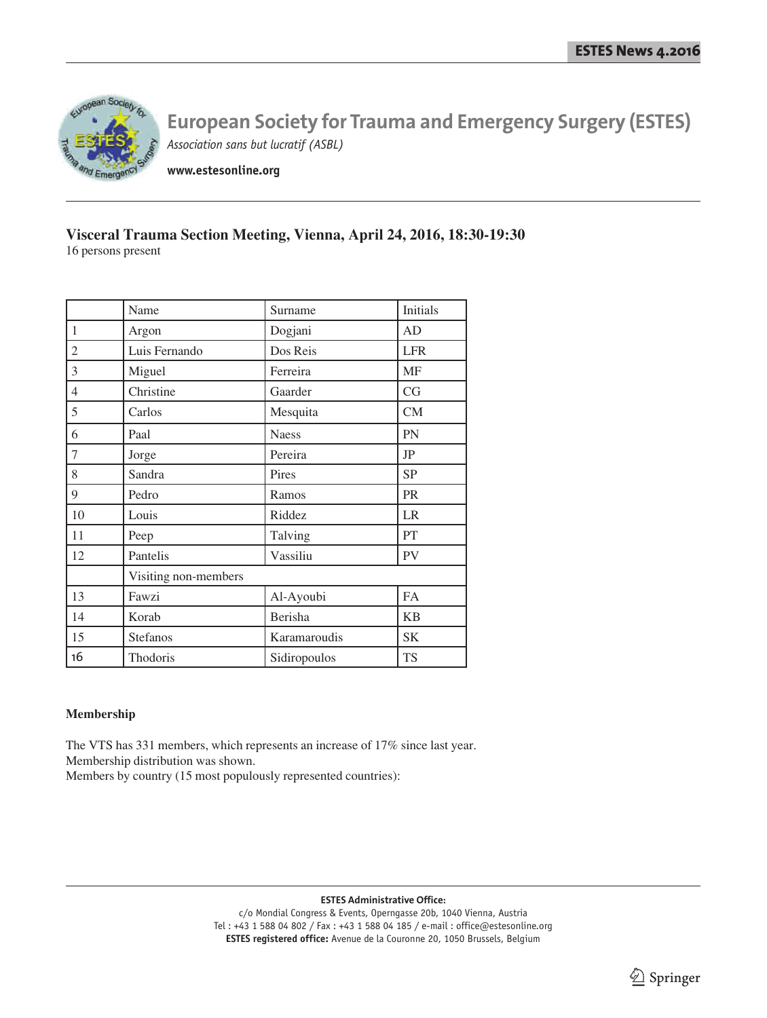

**www.estesonline.org**

### **Visceral Trauma Section Meeting, Vienna, April 24, 2016, 18:30-19:30** 16 persons present

| Name                 | Surname      | Initials   |
|----------------------|--------------|------------|
| Argon                | Dogjani      | AD         |
| Luis Fernando        | Dos Reis     | <b>LFR</b> |
| Miguel               | Ferreira     | <b>MF</b>  |
| Christine            | Gaarder      | CG         |
| Carlos               | Mesquita     | CM         |
| Paal                 | <b>Naess</b> | PN         |
| Jorge                | Pereira      | JP         |
| Sandra               | Pires        | <b>SP</b>  |
| Pedro                | Ramos        | PR         |
| Louis                | Riddez       | LR         |
| Peep                 | Talving      | PT         |
| Pantelis             | Vassiliu     | <b>PV</b>  |
| Visiting non-members |              |            |
| Fawzi                | Al-Ayoubi    | <b>FA</b>  |
| Korab                | Berisha      | <b>KB</b>  |
| Stefanos             | Karamaroudis | <b>SK</b>  |
| Thodoris             | Sidiropoulos | <b>TS</b>  |
|                      |              |            |

#### **Membership**

The VTS has 331 members, which represents an increase of 17% since last year. Membership distribution was shown. Members by country (15 most populously represented countries):

**ESTES Administrative Office:**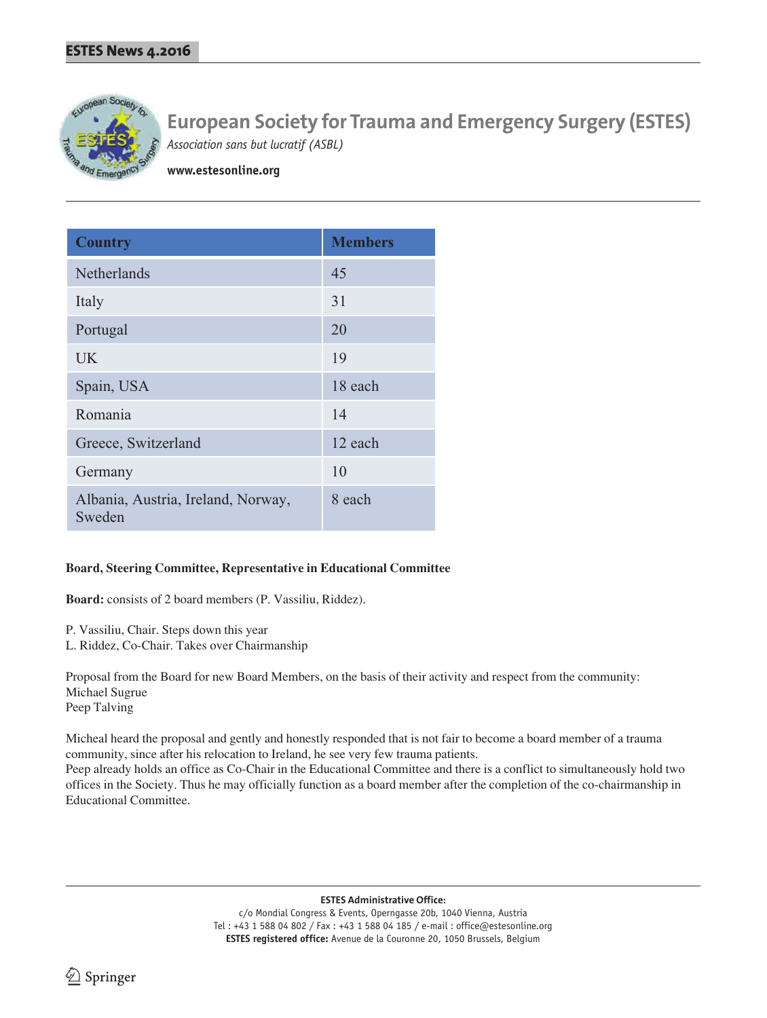

**www.estesonline.org**

| <b>Country</b>                               | <b>Members</b> |
|----------------------------------------------|----------------|
| Netherlands                                  | 45             |
| Italy                                        | 31             |
| Portugal                                     | 20             |
| <b>UK</b>                                    | 19             |
| Spain, USA                                   | 18 each        |
| Romania                                      | 14             |
| Greece, Switzerland                          | 12 each        |
| Germany                                      | 10             |
| Albania, Austria, Ireland, Norway,<br>Sweden | 8 each         |

#### **Board, Steering Committee, Representative in Educational Committee**

**Board:** consists of 2 board members (P. Vassiliu, Riddez).

- P. Vassiliu, Chair. Steps down this year
- L. Riddez, Co-Chair. Takes over Chairmanship

Proposal from the Board for new Board Members, on the basis of their activity and respect from the community: Michael Sugrue Peep Talving

Micheal heard the proposal and gently and honestly responded that is not fair to become a board member of a trauma community, since after his relocation to Ireland, he see very few trauma patients.

Peep already holds an office as Co-Chair in the Educational Committee and there is a conflict to simultaneously hold two offices in the Society. Thus he may officially function as a board member after the completion of the co-chairmanship in Educational Committee.

**ESTES Administrative Office:**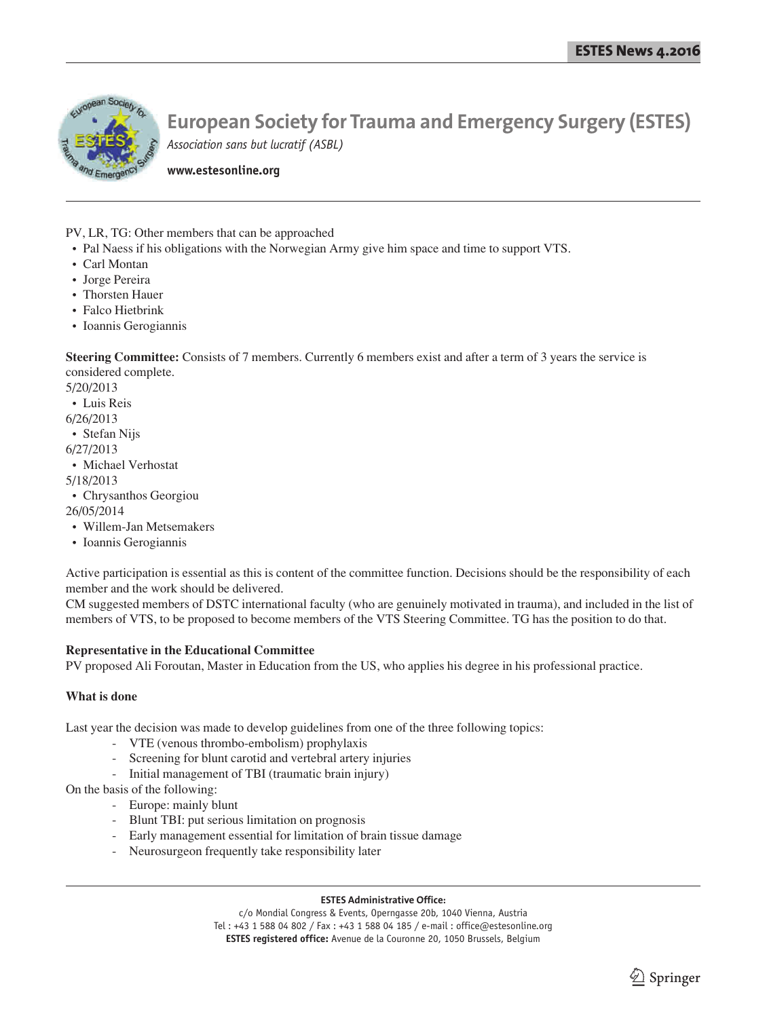

**www.estesonline.org**

PV, LR, TG: Other members that can be approached

- Pal Naess if his obligations with the Norwegian Army give him space and time to support VTS.
- Carl Montan
- Jorge Pereira
- Thorsten Hauer
- Falco Hietbrink
- Ioannis Gerogiannis

**Steering Committee:** Consists of 7 members. Currently 6 members exist and after a term of 3 years the service is considered complete.

5/20/2013

• Luis Reis

6/26/2013

• Stefan Nijs

6/27/2013

• Michael Verhostat

5/18/2013

• Chrysanthos Georgiou

26/05/2014

- Willem-Jan Metsemakers
- Ioannis Gerogiannis

Active participation is essential as this is content of the committee function. Decisions should be the responsibility of each member and the work should be delivered.

CM suggested members of DSTC international faculty (who are genuinely motivated in trauma), and included in the list of members of VTS, to be proposed to become members of the VTS Steering Committee. TG has the position to do that.

#### **Representative in the Educational Committee**

PV proposed Ali Foroutan, Master in Education from the US, who applies his degree in his professional practice.

#### **What is done**

Last year the decision was made to develop guidelines from one of the three following topics:

- VTE (venous thrombo-embolism) prophylaxis
- Screening for blunt carotid and vertebral artery injuries
- Initial management of TBI (traumatic brain injury)

On the basis of the following:

- Europe: mainly blunt
- Blunt TBI: put serious limitation on prognosis
- Early management essential for limitation of brain tissue damage
- Neurosurgeon frequently take responsibility later

#### **ESTES Administrative Office:**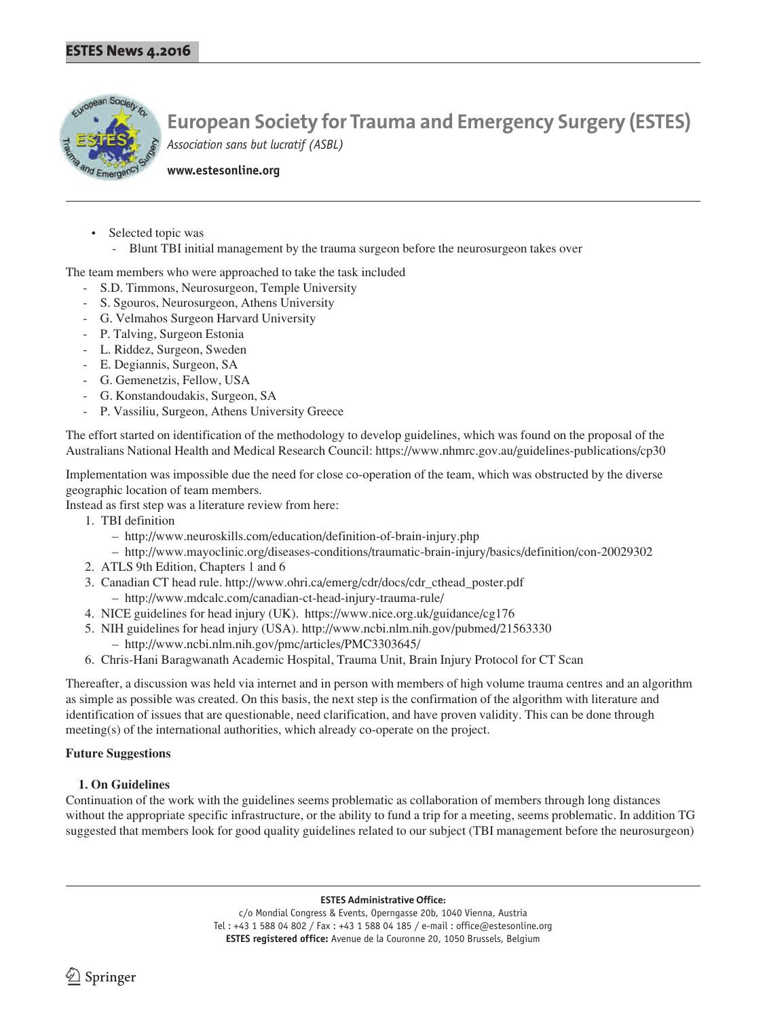

**www.estesonline.org**

- Selected topic was
	- Blunt TBI initial management by the trauma surgeon before the neurosurgeon takes over

The team members who were approached to take the task included

- S.D. Timmons, Neurosurgeon, Temple University
- S. Sgouros, Neurosurgeon, Athens University
- G. Velmahos Surgeon Harvard University
- P. Talving, Surgeon Estonia
- L. Riddez, Surgeon, Sweden
- E. Degiannis, Surgeon, SA
- G. Gemenetzis, Fellow, USA
- G. Konstandoudakis, Surgeon, SA
- P. Vassiliu, Surgeon, Athens University Greece

The effort started on identification of the methodology to develop guidelines, which was found on the proposal of the Australians National Health and Medical Research Council: https://www.nhmrc.gov.au/guidelines-publications/cp30

Implementation was impossible due the need for close co-operation of the team, which was obstructed by the diverse geographic location of team members.

Instead as first step was a literature review from here:

- 1. TBI definition
	- http://www.neuroskills.com/education/definition-of-brain-injury.php
	- http://www.mayoclinic.org/diseases-conditions/traumatic-brain-injury/basics/definition/con-20029302
- 2. ATLS 9th Edition, Chapters 1 and 6
- 3. Canadian CT head rule. http://www.ohri.ca/emerg/cdr/docs/cdr\_cthead\_poster.pdf – http://www.mdcalc.com/canadian-ct-head-injury-trauma-rule/
- 4. NICE guidelines for head injury (UK). https://www.nice.org.uk/guidance/cg176
- 5. NIH guidelines for head injury (USA). http://www.ncbi.nlm.nih.gov/pubmed/21563330 – http://www.ncbi.nlm.nih.gov/pmc/articles/PMC3303645/
- 6. Chris-Hani Baragwanath Academic Hospital, Trauma Unit, Brain Injury Protocol for CT Scan

Thereafter, a discussion was held via internet and in person with members of high volume trauma centres and an algorithm as simple as possible was created. On this basis, the next step is the confirmation of the algorithm with literature and identification of issues that are questionable, need clarification, and have proven validity. This can be done through meeting(s) of the international authorities, which already co-operate on the project.

### **Future Suggestions**

#### **1. On Guidelines**

Continuation of the work with the guidelines seems problematic as collaboration of members through long distances without the appropriate specific infrastructure, or the ability to fund a trip for a meeting, seems problematic. In addition TG suggested that members look for good quality guidelines related to our subject (TBI management before the neurosurgeon)

**ESTES Administrative Office:**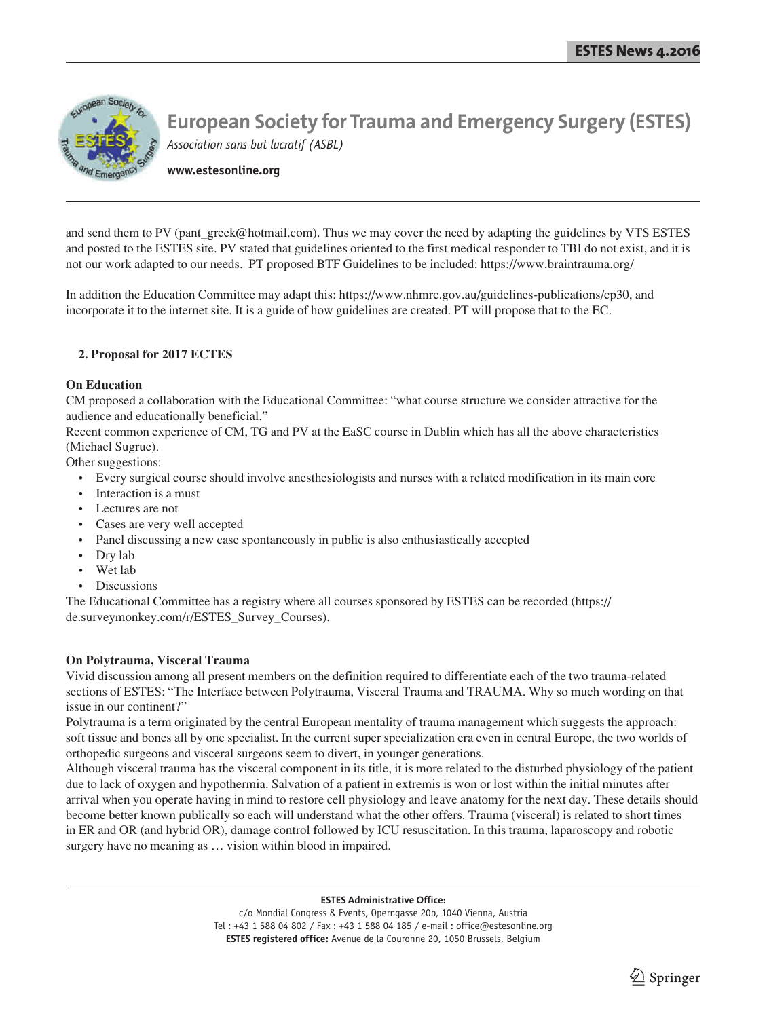

**www.estesonline.org**

and send them to PV (pant\_greek@hotmail.com). Thus we may cover the need by adapting the guidelines by VTS ESTES and posted to the ESTES site. PV stated that guidelines oriented to the first medical responder to TBI do not exist, and it is not our work adapted to our needs. PT proposed BTF Guidelines to be included: https://www.braintrauma.org/

In addition the Education Committee may adapt this: https://www.nhmrc.gov.au/guidelines-publications/cp30, and incorporate it to the internet site. It is a guide of how guidelines are created. PT will propose that to the EC.

#### **2. Proposal for 2017 ECTES**

#### **On Education**

CM proposed a collaboration with the Educational Committee: "what course structure we consider attractive for the audience and educationally beneficial."

Recent common experience of CM, TG and PV at the EaSC course in Dublin which has all the above characteristics (Michael Sugrue).

Other suggestions:

- Every surgical course should involve anesthesiologists and nurses with a related modification in its main core
- Interaction is a must
- Lectures are not
- Cases are very well accepted
- Panel discussing a new case spontaneously in public is also enthusiastically accepted
- Dry lab
- Wet lab
- Discussions

The Educational Committee has a registry where all courses sponsored by ESTES can be recorded (https:// de.surveymonkey.com/r/ESTES\_Survey\_Courses).

#### **On Polytrauma, Visceral Trauma**

Vivid discussion among all present members on the definition required to differentiate each of the two trauma-related sections of ESTES: "The Interface between Polytrauma, Visceral Trauma and TRAUMA. Why so much wording on that issue in our continent?"

Polytrauma is a term originated by the central European mentality of trauma management which suggests the approach: soft tissue and bones all by one specialist. In the current super specialization era even in central Europe, the two worlds of orthopedic surgeons and visceral surgeons seem to divert, in younger generations.

Although visceral trauma has the visceral component in its title, it is more related to the disturbed physiology of the patient due to lack of oxygen and hypothermia. Salvation of a patient in extremis is won or lost within the initial minutes after arrival when you operate having in mind to restore cell physiology and leave anatomy for the next day. These details should become better known publically so each will understand what the other offers. Trauma (visceral) is related to short times in ER and OR (and hybrid OR), damage control followed by ICU resuscitation. In this trauma, laparoscopy and robotic surgery have no meaning as … vision within blood in impaired.

#### **ESTES Administrative Office:**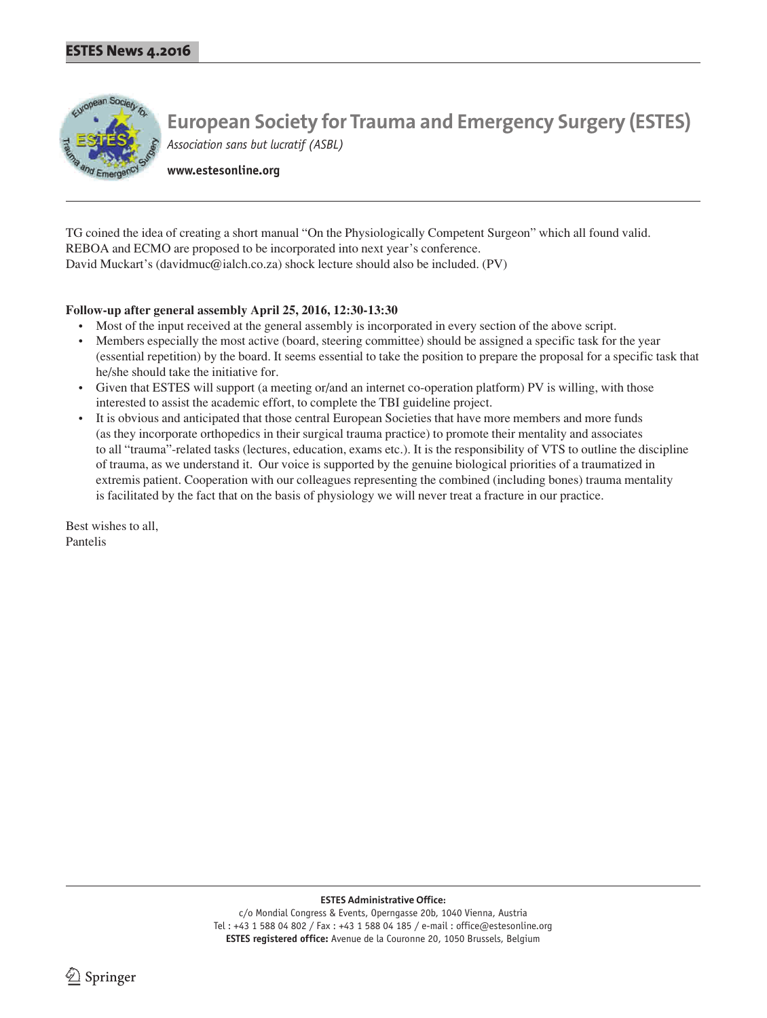

**www.estesonline.org**

TG coined the idea of creating a short manual "On the Physiologically Competent Surgeon" which all found valid. REBOA and ECMO are proposed to be incorporated into next year's conference. David Muckart's (davidmuc@ialch.co.za) shock lecture should also be included. (PV)

#### **Follow-up after general assembly April 25, 2016, 12:30-13:30**

- Most of the input received at the general assembly is incorporated in every section of the above script.
- Members especially the most active (board, steering committee) should be assigned a specific task for the year (essential repetition) by the board. It seems essential to take the position to prepare the proposal for a specific task that he/she should take the initiative for.
- Given that ESTES will support (a meeting or/and an internet co-operation platform) PV is willing, with those interested to assist the academic effort, to complete the TBI guideline project.
- It is obvious and anticipated that those central European Societies that have more members and more funds (as they incorporate orthopedics in their surgical trauma practice) to promote their mentality and associates to all "trauma"-related tasks (lectures, education, exams etc.). It is the responsibility of VTS to outline the discipline of trauma, as we understand it. Our voice is supported by the genuine biological priorities of a traumatized in extremis patient. Cooperation with our colleagues representing the combined (including bones) trauma mentality is facilitated by the fact that on the basis of physiology we will never treat a fracture in our practice.

Best wishes to all, Pantelis

**ESTES Administrative Office:**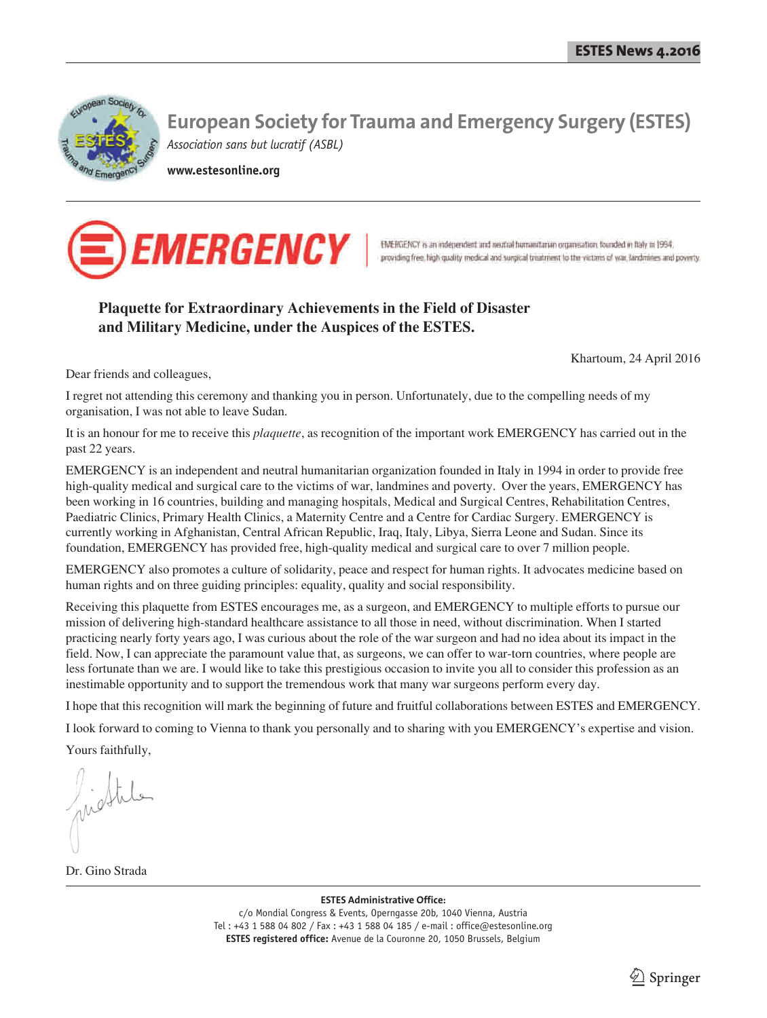

**www.estesonline.org**



## **Plaquette for Extraordinary Achievements in the Field of Disaster and Military Medicine, under the Auspices of the ESTES.**

Khartoum, 24 April 2016

Dear friends and colleagues,

I regret not attending this ceremony and thanking you in person. Unfortunately, due to the compelling needs of my organisation, I was not able to leave Sudan.

It is an honour for me to receive this *plaquette*, as recognition of the important work EMERGENCY has carried out in the past 22 years.

EMERGENCY is an independent and neutral humanitarian organization founded in Italy in 1994 in order to provide free high-quality medical and surgical care to the victims of war, landmines and poverty. Over the years, EMERGENCY has been working in 16 countries, building and managing hospitals, Medical and Surgical Centres, Rehabilitation Centres, Paediatric Clinics, Primary Health Clinics, a Maternity Centre and a Centre for Cardiac Surgery. EMERGENCY is currently working in Afghanistan, Central African Republic, Iraq, Italy, Libya, Sierra Leone and Sudan. Since its foundation, EMERGENCY has provided free, high-quality medical and surgical care to over 7 million people.

EMERGENCY also promotes a culture of solidarity, peace and respect for human rights. It advocates medicine based on human rights and on three guiding principles: equality, quality and social responsibility.

Receiving this plaquette from ESTES encourages me, as a surgeon, and EMERGENCY to multiple efforts to pursue our mission of delivering high-standard healthcare assistance to all those in need, without discrimination. When I started practicing nearly forty years ago, I was curious about the role of the war surgeon and had no idea about its impact in the field. Now, I can appreciate the paramount value that, as surgeons, we can offer to war-torn countries, where people are less fortunate than we are. I would like to take this prestigious occasion to invite you all to consider this profession as an inestimable opportunity and to support the tremendous work that many war surgeons perform every day.

I hope that this recognition will mark the beginning of future and fruitful collaborations between ESTES and EMERGENCY.

I look forward to coming to Vienna to thank you personally and to sharing with you EMERGENCY's expertise and vision.

Yours faithfully,

Dr. Gino Strada

**ESTES Administrative Office:**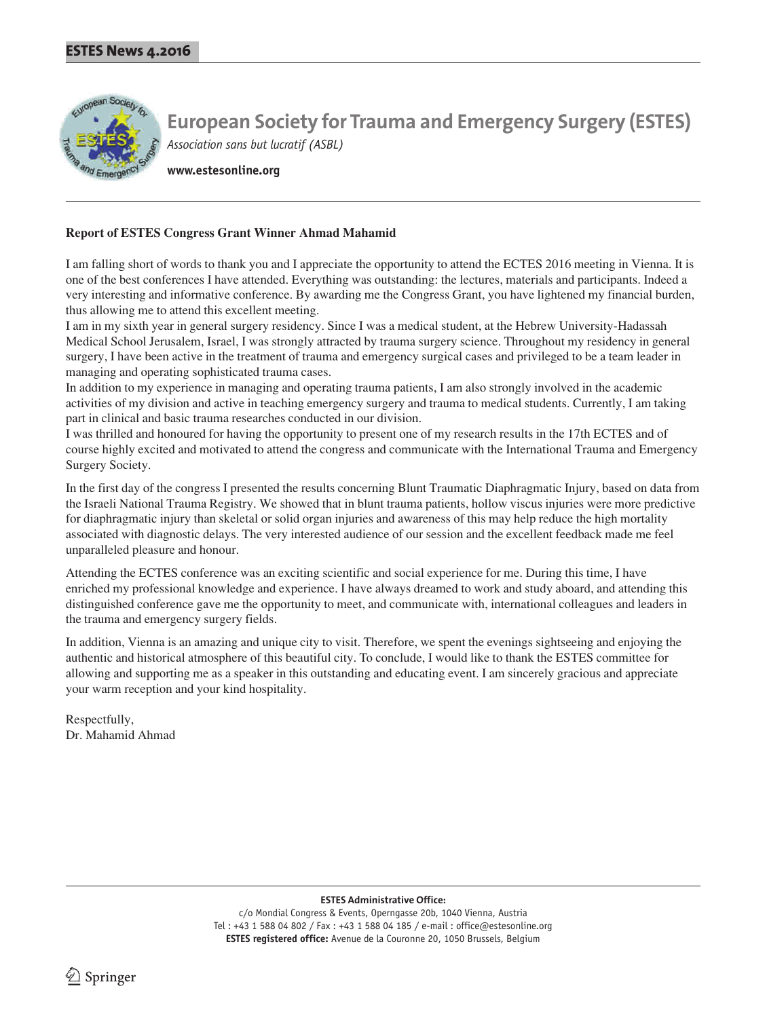

**www.estesonline.org**

#### **Report of ESTES Congress Grant Winner Ahmad Mahamid**

I am falling short of words to thank you and I appreciate the opportunity to attend the ECTES 2016 meeting in Vienna. It is one of the best conferences I have attended. Everything was outstanding: the lectures, materials and participants. Indeed a very interesting and informative conference. By awarding me the Congress Grant, you have lightened my financial burden, thus allowing me to attend this excellent meeting.

I am in my sixth year in general surgery residency. Since I was a medical student, at the Hebrew University-Hadassah Medical School Jerusalem, Israel, I was strongly attracted by trauma surgery science. Throughout my residency in general surgery, I have been active in the treatment of trauma and emergency surgical cases and privileged to be a team leader in managing and operating sophisticated trauma cases.

In addition to my experience in managing and operating trauma patients, I am also strongly involved in the academic activities of my division and active in teaching emergency surgery and trauma to medical students. Currently, I am taking part in clinical and basic trauma researches conducted in our division.

I was thrilled and honoured for having the opportunity to present one of my research results in the 17th ECTES and of course highly excited and motivated to attend the congress and communicate with the International Trauma and Emergency Surgery Society.

In the first day of the congress I presented the results concerning Blunt Traumatic Diaphragmatic Injury, based on data from the Israeli National Trauma Registry. We showed that in blunt trauma patients, hollow viscus injuries were more predictive for diaphragmatic injury than skeletal or solid organ injuries and awareness of this may help reduce the high mortality associated with diagnostic delays. The very interested audience of our session and the excellent feedback made me feel unparalleled pleasure and honour.

Attending the ECTES conference was an exciting scientific and social experience for me. During this time, I have enriched my professional knowledge and experience. I have always dreamed to work and study aboard, and attending this distinguished conference gave me the opportunity to meet, and communicate with, international colleagues and leaders in the trauma and emergency surgery fields.

In addition, Vienna is an amazing and unique city to visit. Therefore, we spent the evenings sightseeing and enjoying the authentic and historical atmosphere of this beautiful city. To conclude, I would like to thank the ESTES committee for allowing and supporting me as a speaker in this outstanding and educating event. I am sincerely gracious and appreciate your warm reception and your kind hospitality.

Respectfully, Dr. Mahamid Ahmad

**ESTES Administrative Office:**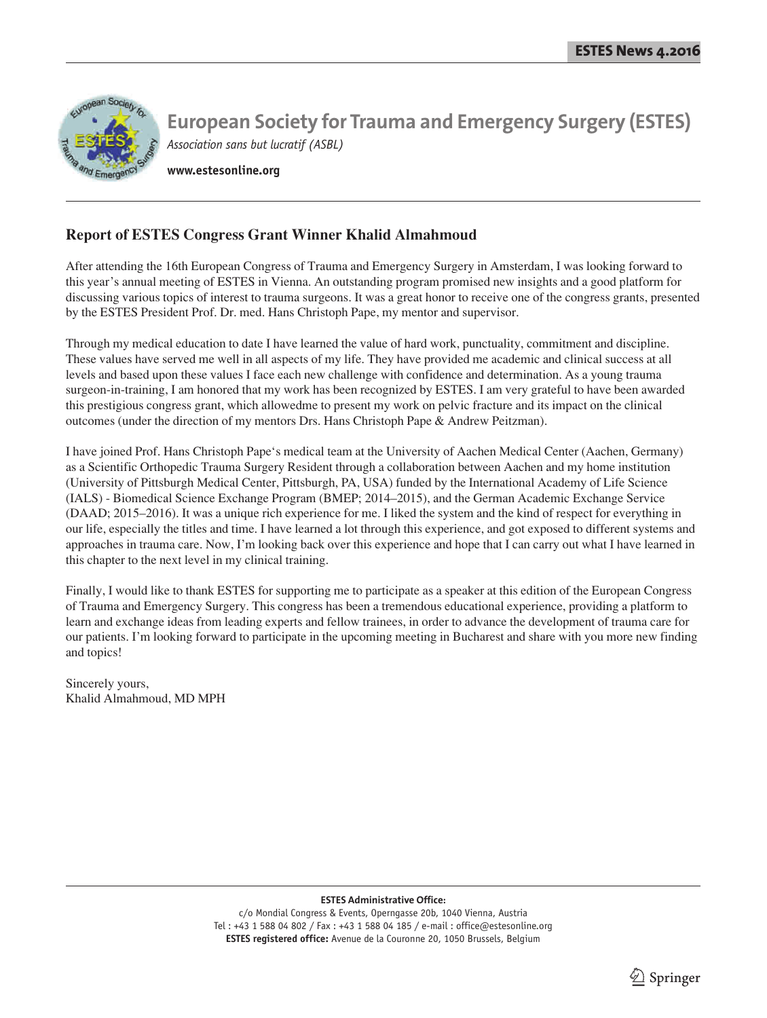

**www.estesonline.org**

## **Report of ESTES Congress Grant Winner Khalid Almahmoud**

After attending the 16th European Congress of Trauma and Emergency Surgery in Amsterdam, I was looking forward to this year's annual meeting of ESTES in Vienna. An outstanding program promised new insights and a good platform for discussing various topics of interest to trauma surgeons. It was a great honor to receive one of the congress grants, presented by the ESTES President Prof. Dr. med. Hans Christoph Pape, my mentor and supervisor.

Through my medical education to date I have learned the value of hard work, punctuality, commitment and discipline. These values have served me well in all aspects of my life. They have provided me academic and clinical success at all levels and based upon these values I face each new challenge with confidence and determination. As a young trauma surgeon-in-training, I am honored that my work has been recognized by ESTES. I am very grateful to have been awarded this prestigious congress grant, which allowedme to present my work on pelvic fracture and its impact on the clinical outcomes (under the direction of my mentors Drs. Hans Christoph Pape & Andrew Peitzman).

I have joined Prof. Hans Christoph Pape's medical team at the University of Aachen Medical Center (Aachen, Germany) as a Scientific Orthopedic Trauma Surgery Resident through a collaboration between Aachen and my home institution (University of Pittsburgh Medical Center, Pittsburgh, PA, USA) funded by the International Academy of Life Science (IALS) - Biomedical Science Exchange Program (BMEP; 2014–2015), and the German Academic Exchange Service (DAAD; 2015–2016). It was a unique rich experience for me. I liked the system and the kind of respect for everything in our life, especially the titles and time. I have learned a lot through this experience, and got exposed to different systems and approaches in trauma care. Now, I'm looking back over this experience and hope that I can carry out what I have learned in this chapter to the next level in my clinical training.

Finally, I would like to thank ESTES for supporting me to participate as a speaker at this edition of the European Congress of Trauma and Emergency Surgery. This congress has been a tremendous educational experience, providing a platform to learn and exchange ideas from leading experts and fellow trainees, in order to advance the development of trauma care for our patients. I'm looking forward to participate in the upcoming meeting in Bucharest and share with you more new finding and topics!

Sincerely yours, Khalid Almahmoud, MD MPH

#### **ESTES Administrative Office:**